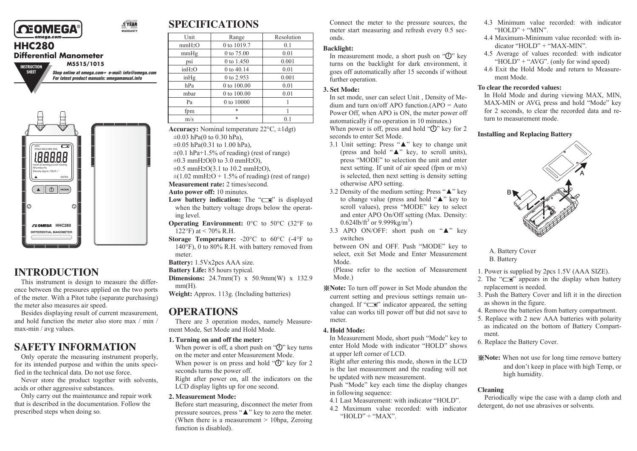

#### 1 YEAR WARRANTY

# **HHC280**

**SHEET**

**Differential Manometer**

**INSTRUCTION M5515/1015**

> *Shop online at omega.com<sup>®</sup> e-mail: info@omega.com For latest product manuals: omegamanual.info*



# **INTRODUCTION**

This instrument is design to measure the difference between the pressures applied on the two ports of the meter. With a Pitot tube (separate purchasing) the meter also measures air speed.

Besides displaying result of current measurement, and hold function the meter also store max / min / max-min / avg values.

# **SAFETY INFORMATION**

Only operate the measuring instrument properly, for its intended purpose and within the units specified in the technical data. Do not use force.

Never store the product together with solvents, acids or other aggressive substances.

Only carry out the maintenance and repair work that is described in the documentation. Follow the prescribed steps when doing so.

# **SPECIFICATIONS**

| Unit               | Range       | Resolution |
|--------------------|-------------|------------|
| mmH2O              | 0 to 1019.7 | 0.1        |
| mmHg               | 0 to 75.00  | 0.01       |
| psi                | 0 to 1.450  | 0.001      |
| inH2O              | 0 to 40.14  | 0.01       |
| $in$ <sup>Hg</sup> | 0 to 2.953  | 0.001      |
| hPa                | 0 to 100.00 | 0.01       |
| mbar               | 0 to 100.00 | 0.01       |
| Pa                 | 0 to 10000  |            |
| fpm                | $\ast$      |            |
| m/s                | $\ast$      | 01         |

**Accuracy:** Nominal temperature 22°C, ±1dgt)  $\pm 0.03$  hPa(0 to 0.30 hPa),

- $\pm 0.05$  hPa(0.31 to 1.00 hPa).
- $\pm$ (0.1 hPa+1.5% of reading) (rest of range)
- $\pm 0.3$  mmH<sub>2</sub>O(0 to 3.0 mmH<sub>2</sub>O).
- $\pm 0.5$  mmH<sub>2</sub>O(3.1 to 10.2 mmH<sub>2</sub>O),

 $\pm$ (1.02 mmH<sub>2</sub>O + 1.5% of reading) (rest of range) **Measurement rate:** 2 times/second.

**Auto power off:** 10 minutes.

- Low battery indication: The "**F**" is displayed when the battery voltage drops below the operating level.
- **Operating Environment:**  $0^{\circ}$ C to 50<sup>°</sup>C (32<sup>°</sup>F to 122°F) at < 70% R.H.
- **Storage Temperature:** -20°C to 60°C (-4°F to 140°F), 0 to 80% R.H. with battery removed from meter.
- **Battery:** 1.5Vx2pcs AAA size.

**Battery Life:** 85 hours typical.

**Dimensions:** 24.7mm(T) x 50.9mm(W) x 132.9 mm(H).

**Weight:** Approx. 113g. (Including batteries)

# **OPERATIONS**

There are 3 operation modes, namely Measurement Mode, Set Mode and Hold Mode.

#### **1. Turning on and off the meter:**

When power is off, a short push on " $\bigcirc$ " key turns" on the meter and enter Measurement Mode. When power is on press and hold " $\bigoplus$ " key for 2 seconds turns the power off.

Right after power on, all the indicators on the LCD display lights up for one second.

#### **2. Measurement Mode:**

Before start measuring, disconnect the meter from pressure sources, press "▲" key to zero the meter. (When there is a measurement  $> 10$ hpa, Zeroing function is disabled).

Connect the meter to the pressure sources, the meter start measuring and refresh every 0.5 seconds.

#### **Backlight:**

In measurement mode, a short push on " $($ I $)$ " key turns on the backlight for dark environment, it goes off automatically after 15 seconds if without further operation.

#### **3. Set Mode:**

In set mode, user can select Unit , Density of Medium and turn on/off APO function.( $APO =$ Auto Power Off, when APO is ON, the meter power off automatically if no operation in 10 minutes.) When power is off, press and hold " $\bigcup$ " key for 2 seconds to enter Set Mode.

- 3.1 Unit setting: Press "▲" key to change unit (press and hold " $\blacktriangle$ " key, to scroll units), press "MODE" to selection the unit and enter next setting. If unit of air speed (fpm or m/s) is selected, then next setting is density setting otherwise APO setting.
- 3.2 Density of the medium setting: Press "▲" key to change value (press and hold "▲" key to scroll values), press "MODE" key to select and enter APO On/Off setting (Max. Density:  $0.624$ lb/ft<sup>3</sup> or 9.999kg/m<sup>3</sup>)
- 3.3 APO ON/OFF: short push on "▲" key switches

between ON and OFF. Push "MODE" key to select, exit Set Mode and Enter Measurement Mode.

(Please refer to the section of Measurement Mode.)

※**Note:** To turn off power in Set Mode abandon the current setting and previous settings remain unchanged. If " $\equiv$ " indicator appeared, the setting value can works till power off but did not save to meter.

#### **4. Hold Mode:**

In Measurement Mode, short push "Mode" key to enter Hold Mode with indicator "HOLD" shows at upper left corner of LCD.

Right after entering this mode, shown in the LCD is the last measurement and the reading will not be updated with new measurement.

Push "Mode" key each time the display changes in following sequence:

- 4.1 Last Measurement: with indicator "HOLD".
- 4.2 Maximum value recorded: with indicator "HOLD" + " $MAX"$
- 4.3 Minimum value recorded: with indicator "HOLD" + " $MIN"$
- 4.4 Maximum-Minimum value recorded: with indicator "HOLD" + "MAX-MIN".
- 4.5 Average of values recorded: with indicator "HOLD" + " $AVG$ ". (only for wind speed)
- 4.6 Exit the Hold Mode and return to Measurement Mode.

#### **To clear the recorded values:**

In Hold Mode and during viewing MAX, MIN, MAX-MIN or AVG, press and hold "Mode" key for 2 seconds, to clear the recorded data and return to measurement mode.

#### **Installing and Replacing Battery**



A. Battery Cover B. Battery

- 1. Power is supplied by 2pcs 1.5V (AAA SIZE).
- 2. The " $\equiv$ " appears in the display when battery replacement is needed.
- 3. Push the Battery Cover and lift it in the direction as shown in the figure.
- 4. Remove the batteries from battery compartment.
- 5. Replace with 2 new AAA batteries with polarity as indicated on the bottom of Battery Compartment.
- 6. Replace the Battery Cover.
- ※**Note:** When not use for long time remove battery and don't keep in place with high Temp, or high humidity.

#### **Cleaning**

Periodically wipe the case with a damp cloth and detergent, do not use abrasives or solvents.